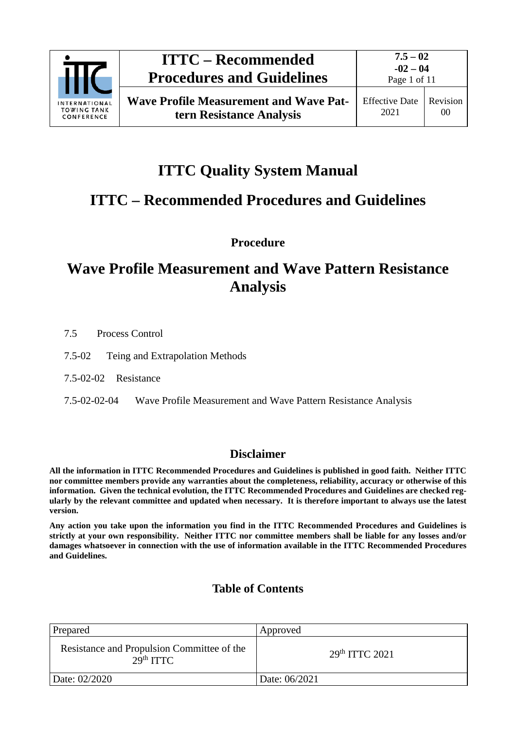

# **ITTC Quality System Manual**

# **ITTC – Recommended Procedures and Guidelines**

**Procedure**

# **Wave Profile Measurement and Wave Pattern Resistance Analysis**

- 7.5 Process Control
- 7.5-02 Teing and Extrapolation Methods
- 7.5-02-02 Resistance
- 7.5-02-02-04 Wave Profile Measurement and Wave Pattern Resistance Analysis

# **Disclaimer**

**All the information in ITTC Recommended Procedures and Guidelines is published in good faith. Neither ITTC nor committee members provide any warranties about the completeness, reliability, accuracy or otherwise of this information. Given the technical evolution, the ITTC Recommended Procedures and Guidelines are checked regularly by the relevant committee and updated when necessary. It is therefore important to always use the latest version.**

**Any action you take upon the information you find in the ITTC Recommended Procedures and Guidelines is strictly at your own responsibility. Neither ITTC nor committee members shall be liable for any losses and/or damages whatsoever in connection with the use of information available in the ITTC Recommended Procedures and Guidelines.**

# **Table of Contents**

| Prepared                                                            | Approved                   |
|---------------------------------------------------------------------|----------------------------|
| Resistance and Propulsion Committee of the<br>29 <sup>th</sup> TTTC | 29 <sup>th</sup> ITTC 2021 |
| Date: 02/2020                                                       | Date: 06/2021              |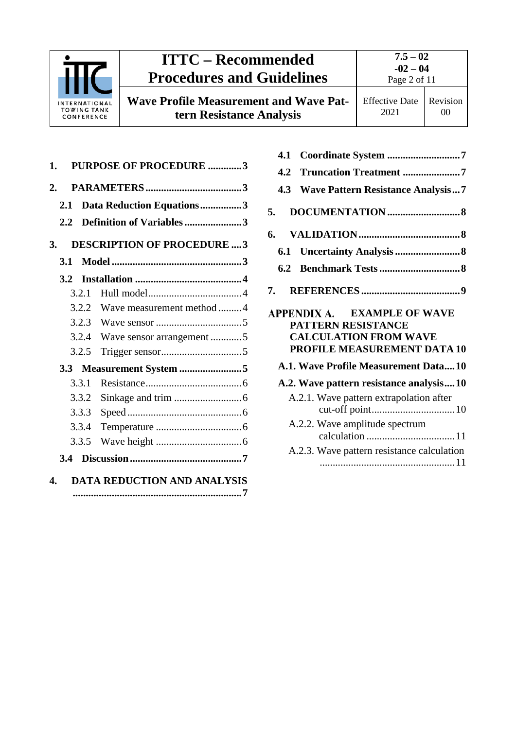

# **ITTC – Recommended Procedures and Guidelines Wave Profile Measurement and Wave Pat-**

**tern Resistance Analysis**

| 1.            |       | <b>PURPOSE OF PROCEDURE 3</b>      |  |
|---------------|-------|------------------------------------|--|
| 2.            |       |                                    |  |
| 2.1           |       | Data Reduction Equations3          |  |
| $2.2^{\circ}$ |       | Definition of Variables3           |  |
| 3.            |       | <b>DESCRIPTION OF PROCEDURE  3</b> |  |
| 3.1           |       |                                    |  |
| 3.2           |       |                                    |  |
|               | 3.2.1 |                                    |  |
|               |       | 3.2.2 Wave measurement method 4    |  |
|               |       |                                    |  |
|               |       | 3.2.4 Wave sensor arrangement 5    |  |
|               | 3.2.5 |                                    |  |
|               |       | 3.3 Measurement System 5           |  |
|               | 3.3.1 |                                    |  |
|               | 3.3.2 |                                    |  |
|               | 3.3.3 |                                    |  |
|               | 3.3.4 |                                    |  |
|               | 3.3.5 |                                    |  |
|               |       |                                    |  |
| 4.            |       | DATA REDUCTION AND ANALYSIS        |  |

| Coordinate System 7<br>4.1                                                                                       |  |
|------------------------------------------------------------------------------------------------------------------|--|
| Truncation Treatment 7<br>4.2                                                                                    |  |
| <b>Wave Pattern Resistance Analysis7</b><br>4.3                                                                  |  |
| 5.                                                                                                               |  |
| 6.                                                                                                               |  |
| 6.1                                                                                                              |  |
| 6.2                                                                                                              |  |
| 7.                                                                                                               |  |
| APPENDIX A. EXAMPLE OF WAVE<br>PATTERN RESISTANCE<br><b>CALCULATION FROM WAVE</b><br>PROFILE MEASUREMENT DATA 10 |  |
| A.1. Wave Profile Measurement Data10                                                                             |  |
| A.2. Wave pattern resistance analysis10                                                                          |  |
| A.2.1. Wave pattern extrapolation after                                                                          |  |
| A.2.2. Wave amplitude spectrum                                                                                   |  |
| A.2.3. Wave pattern resistance calculation                                                                       |  |

[....................................................11](#page-10-1)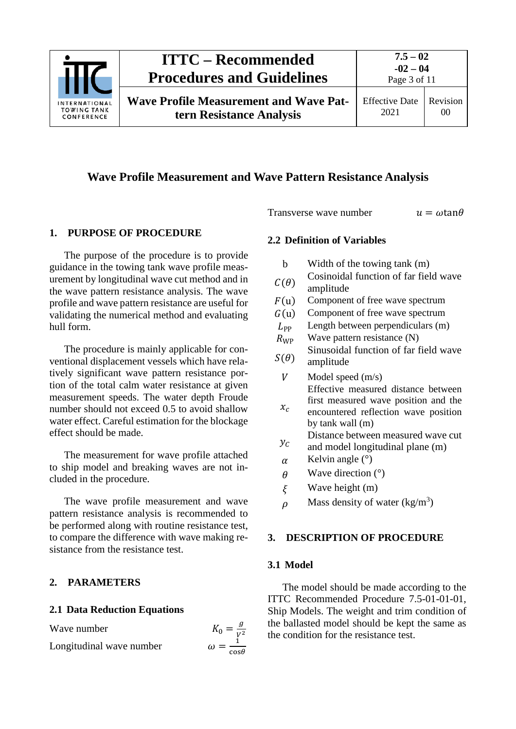

# **Wave Profile Measurement and Wave Pattern Resistance Analysis**

#### <span id="page-2-0"></span>**1. PURPOSE OF PROCEDURE**

The purpose of the procedure is to provide guidance in the towing tank wave profile measurement by longitudinal wave cut method and in the wave pattern resistance analysis. The wave profile and wave pattern resistance are useful for validating the numerical method and evaluating hull form.

The procedure is mainly applicable for conventional displacement vessels which have relatively significant wave pattern resistance portion of the total calm water resistance at given measurement speeds. The water depth Froude number should not exceed 0.5 to avoid shallow water effect. Careful estimation for the blockage effect should be made.

The measurement for wave profile attached to ship model and breaking waves are not included in the procedure.

The wave profile measurement and wave pattern resistance analysis is recommended to be performed along with routine resistance test, to compare the difference with wave making resistance from the resistance test.

## <span id="page-2-2"></span><span id="page-2-1"></span>**2. PARAMETERS**

#### **2.1 Data Reduction Equations**

Wave number  $K_0 = \frac{g}{V^2}$ 

Longitudinal wave number

<span id="page-2-3"></span>Transverse wave number  $u = \omega \tan \theta$ 

## **2.2 Definition of Variables**

- b Width of the towing tank (m)
- $C(\theta)$  Cosinoidal function of far field wave amplitude
- 
- $F(u)$  Component of free wave spectrum<br> $G(u)$  Component of free wave spectrum

 $G(u)$  Component of free wave spectrum<br> $L_{\rm pp}$  Length between perpendiculars (m  $L_{\rm PP}$  Length between perpendiculars (m)<br>  $R_{\rm WP}$  Wave pattern resistance (N)

- Wave pattern resistance  $(N)$
- $S(\theta)$ Sinusoidal function of far field wave amplitude
	- $V$  Model speed  $(m/s)$ Effective measured distance between first measured wave position and the
	- $x_c$ encountered reflection wave position by tank wall (m)
- $y_c$ Distance between measured wave cut
- and model longitudinal plane (m)
- $\alpha$  Kelvin angle (°)
- $\theta$  Wave direction (°)
- $\xi$  Wave height (m)
- <span id="page-2-4"></span> $\rho$  Mass density of water (kg/m<sup>3</sup>)

## <span id="page-2-5"></span>**3. DESCRIPTION OF PROCEDURE**

#### **3.1 Model**

 $cos\theta$ 

The model should be made according to the ITTC Recommended Procedure 7.5-01-01-01, Ship Models. The weight and trim condition of the ballasted model should be kept the same as the condition for the resistance test.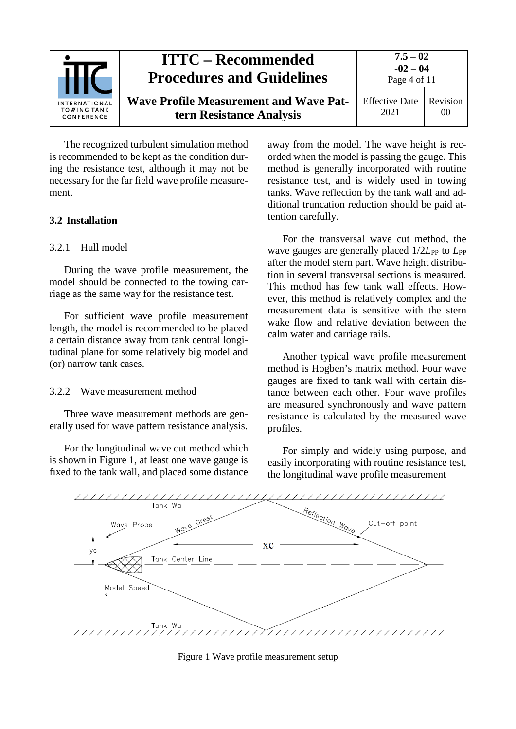|                                                   | <b>ITTC – Recommended</b><br><b>Procedures and Guidelines</b>             |                               | $7.5 - 02$<br>$-02 - 04$<br>Page 4 of 11 |  |
|---------------------------------------------------|---------------------------------------------------------------------------|-------------------------------|------------------------------------------|--|
| INTERNATIONAL<br><b>TOWING TANK</b><br>CONFERENCE | <b>Wave Profile Measurement and Wave Pat-</b><br>tern Resistance Analysis | <b>Effective Date</b><br>2021 | Revision<br>00                           |  |

The recognized turbulent simulation method is recommended to be kept as the condition during the resistance test, although it may not be necessary for the far field wave profile measurement.

# <span id="page-3-1"></span><span id="page-3-0"></span>**3.2 Installation**

# 3.2.1 Hull model

During the wave profile measurement, the model should be connected to the towing carriage as the same way for the resistance test.

For sufficient wave profile measurement length, the model is recommended to be placed a certain distance away from tank central longitudinal plane for some relatively big model and (or) narrow tank cases.

#### <span id="page-3-2"></span>3.2.2 Wave measurement method

Three wave measurement methods are generally used for wave pattern resistance analysis.

For the longitudinal wave cut method which is shown in Figure 1, at least one wave gauge is fixed to the tank wall, and placed some distance away from the model. The wave height is recorded when the model is passing the gauge. This method is generally incorporated with routine resistance test, and is widely used in towing tanks. Wave reflection by the tank wall and additional truncation reduction should be paid attention carefully.

For the transversal wave cut method, the wave gauges are generally placed  $1/2L_{PP}$  to  $L_{PP}$ after the model stern part. Wave height distribution in several transversal sections is measured. This method has few tank wall effects. However, this method is relatively complex and the measurement data is sensitive with the stern wake flow and relative deviation between the calm water and carriage rails.

Another typical wave profile measurement method is Hogben's matrix method. Four wave gauges are fixed to tank wall with certain distance between each other. Four wave profiles are measured synchronously and wave pattern resistance is calculated by the measured wave profiles.

For simply and widely using purpose, and easily incorporating with routine resistance test, the longitudinal wave profile measurement



Figure 1 Wave profile measurement setup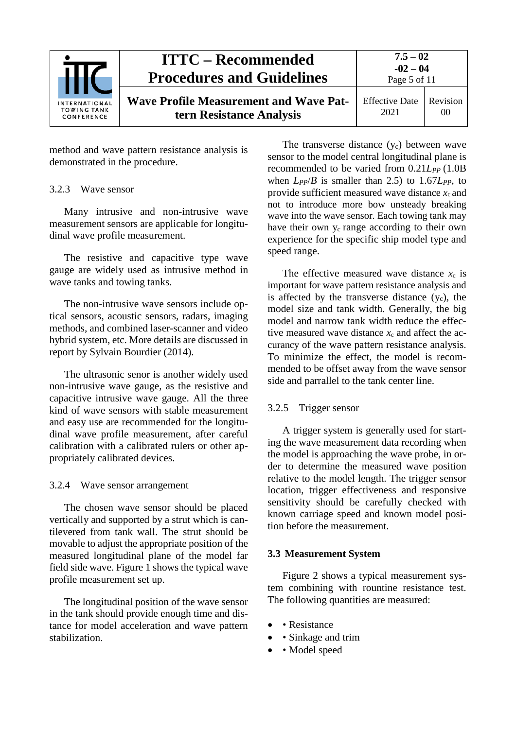|                                                          | <b>ITTC – Recommended</b><br><b>Procedures and Guidelines</b>             | $7.5 - 02$<br>$-02 - 04$<br>Page 5 of 11 |                |
|----------------------------------------------------------|---------------------------------------------------------------------------|------------------------------------------|----------------|
| <b>INTERNATIONAL</b><br><b>TOWING TANK</b><br>CONFERENCE | <b>Wave Profile Measurement and Wave Pat-</b><br>tern Resistance Analysis | <b>Effective Date</b><br>2021            | Revision<br>00 |

method and wave pattern resistance analysis is demonstrated in the procedure.

## <span id="page-4-0"></span>3.2.3 Wave sensor

Many intrusive and non-intrusive wave measurement sensors are applicable for longitudinal wave profile measurement.

The resistive and capacitive type wave gauge are widely used as intrusive method in wave tanks and towing tanks.

The non-intrusive wave sensors include optical sensors, acoustic sensors, radars, imaging methods, and combined laser-scanner and video hybrid system, etc. More details are discussed in report by Sylvain Bourdier (2014).

The ultrasonic senor is another widely used non-intrusive wave gauge, as the resistive and capacitive intrusive wave gauge. All the three kind of wave sensors with stable measurement and easy use are recommended for the longitudinal wave profile measurement, after careful calibration with a calibrated rulers or other appropriately calibrated devices.

#### <span id="page-4-1"></span>3.2.4 Wave sensor arrangement

The chosen wave sensor should be placed vertically and supported by a strut which is cantilevered from tank wall. The strut should be movable to adjust the appropriate position of the measured longitudinal plane of the model far field side wave. Figure 1 shows the typical wave profile measurement set up.

The longitudinal position of the wave sensor in the tank should provide enough time and distance for model acceleration and wave pattern stabilization.

The transverse distance  $(y_c)$  between wave sensor to the model central longitudinal plane is recommended to be varied from  $0.21L_{PP}$  (1.0B) when  $L_{PP}/B$  is smaller than 2.5) to 1.67 $L_{PP}$ , to provide sufficient measured wave distance  $x_c$  and not to introduce more bow unsteady breaking wave into the wave sensor. Each towing tank may have their own  $y_c$  range according to their own experience for the specific ship model type and speed range.

The effective measured wave distance  $x_c$  is important for wave pattern resistance analysis and is affected by the transverse distance  $(y<sub>c</sub>)$ , the model size and tank width. Generally, the big model and narrow tank width reduce the effective measured wave distance  $x_c$  and affect the accurancy of the wave pattern resistance analysis. To minimize the effect, the model is recommended to be offset away from the wave sensor side and parrallel to the tank center line.

## <span id="page-4-2"></span>3.2.5 Trigger sensor

A trigger system is generally used for starting the wave measurement data recording when the model is approaching the wave probe, in order to determine the measured wave position relative to the model length. The trigger sensor location, trigger effectiveness and responsive sensitivity should be carefully checked with known carriage speed and known model position before the measurement.

#### <span id="page-4-3"></span>**3.3 Measurement System**

Figure 2 shows a typical measurement system combining with rountine resistance test. The following quantities are measured:

- • Resistance
- • Sinkage and trim
- • Model speed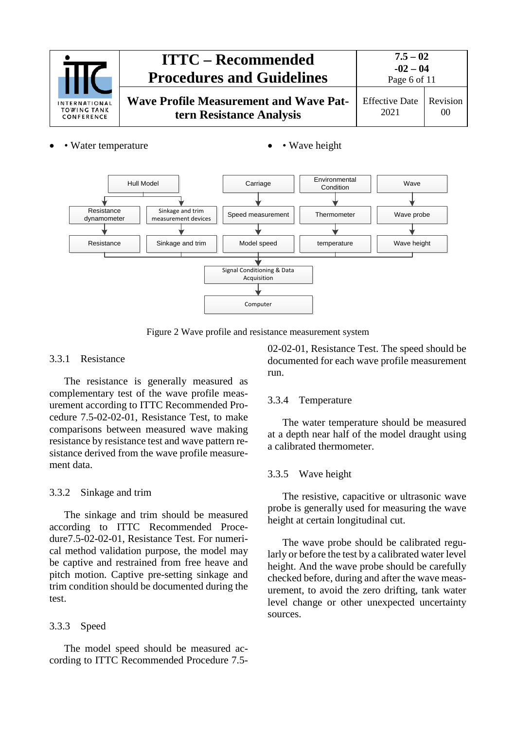

- Water temperature • Wave height
	-



Figure 2 Wave profile and resistance measurement system

# <span id="page-5-0"></span>3.3.1 Resistance

The resistance is generally measured as complementary test of the wave profile measurement according to ITTC Recommended Procedure 7.5-02-02-01, Resistance Test, to make comparisons between measured wave making resistance by resistance test and wave pattern resistance derived from the wave profile measurement data.

# <span id="page-5-1"></span>3.3.2 Sinkage and trim

The sinkage and trim should be measured according to ITTC Recommended Procedure7.5-02-02-01, Resistance Test. For numerical method validation purpose, the model may be captive and restrained from free heave and pitch motion. Captive pre-setting sinkage and trim condition should be documented during the test.

# <span id="page-5-2"></span>3.3.3 Speed

The model speed should be measured according to ITTC Recommended Procedure 7.502-02-01, Resistance Test. The speed should be documented for each wave profile measurement run.

# <span id="page-5-3"></span>3.3.4 Temperature

The water temperature should be measured at a depth near half of the model draught using a calibrated thermometer.

# <span id="page-5-4"></span>3.3.5 Wave height

The resistive, capacitive or ultrasonic wave probe is generally used for measuring the wave height at certain longitudinal cut.

The wave probe should be calibrated regularly or before the test by a calibrated water level height. And the wave probe should be carefully checked before, during and after the wave measurement, to avoid the zero drifting, tank water level change or other unexpected uncertainty sources.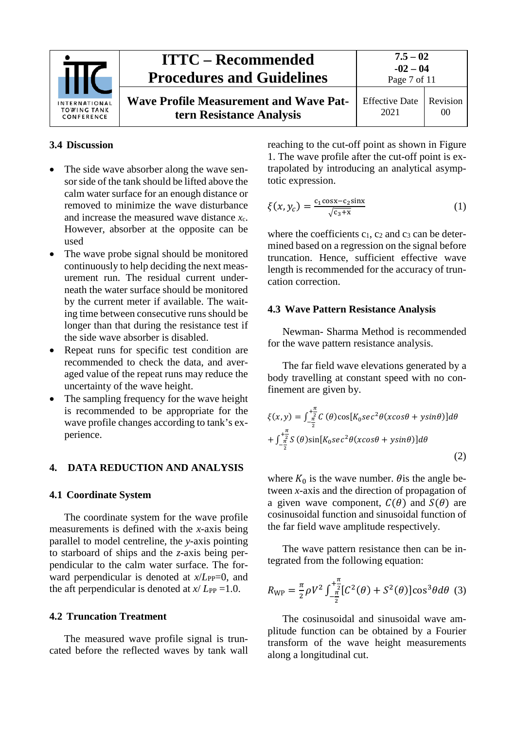

# <span id="page-6-0"></span>**3.4 Discussion**

- The side wave absorber along the wave sensorside of the tank should be lifted above the calm water surface for an enough distance or removed to minimize the wave disturbance and increase the measured wave distance *x*c. However, absorber at the opposite can be used
- The wave probe signal should be monitored continuously to help deciding the next measurement run. The residual current underneath the water surface should be monitored by the current meter if available. The waiting time between consecutive runs should be longer than that during the resistance test if the side wave absorber is disabled.
- Repeat runs for specific test condition are recommended to check the data, and averaged value of the repeat runs may reduce the uncertainty of the wave height.
- The sampling frequency for the wave height is recommended to be appropriate for the wave profile changes according to tank's experience.

#### <span id="page-6-2"></span><span id="page-6-1"></span>**4. DATA REDUCTION AND ANALYSIS**

#### **4.1 Coordinate System**

The coordinate system for the wave profile measurements is defined with the *x*-axis being parallel to model centreline, the *y*-axis pointing to starboard of ships and the *z*-axis being perpendicular to the calm water surface. The forward perpendicular is denoted at  $x/L_{PP}=0$ , and the aft perpendicular is denoted at  $x / L_{PP} = 1.0$ .

#### <span id="page-6-3"></span>**4.2 Truncation Treatment**

The measured wave profile signal is truncated before the reflected waves by tank wall reaching to the cut-off point as shown in Figure 1. The wave profile after the cut-off point is extrapolated by introducing an analytical asymptotic expression.

$$
\xi(x, y_c) = \frac{c_1 \cos x - c_2 \sin x}{\sqrt{c_3 + x}} \tag{1}
$$

where the coefficients  $c_1$ ,  $c_2$  and  $c_3$  can be determined based on a regression on the signal before truncation. Hence, sufficient effective wave length is recommended for the accuracy of truncation correction.

#### <span id="page-6-4"></span>**4.3 Wave Pattern Resistance Analysis**

Newman- Sharma Method is recommended for the wave pattern resistance analysis.

The far field wave elevations generated by a body travelling at constant speed with no confinement are given by.

$$
\xi(x,y) = \int_{-\frac{\pi}{2}}^{+\frac{\pi}{2}} C(\theta) \cos[K_0 s e c^2 \theta(x \cos \theta + y \sin \theta)] d\theta
$$
  
+ 
$$
\int_{-\frac{\pi}{2}}^{+\frac{\pi}{2}} S(\theta) \sin[K_0 s e c^2 \theta(x \cos \theta + y \sin \theta)] d\theta
$$
 (2)

where  $K_0$  is the wave number.  $\theta$  is the angle between *x*-axis and the direction of propagation of a given wave component,  $C(\theta)$  and  $S(\theta)$  are cosinusoidal function and sinusoidal function of the far field wave amplitude respectively.

The wave pattern resistance then can be integrated from the following equation:

$$
R_{\rm WP} = \frac{\pi}{2} \rho V^2 \int_{-\frac{\pi}{2}}^{+\frac{\pi}{2}} [C^2(\theta) + S^2(\theta)] \cos^3 \theta d\theta \quad (3)
$$

The cosinusoidal and sinusoidal wave amplitude function can be obtained by a Fourier transform of the wave height measurements along a longitudinal cut.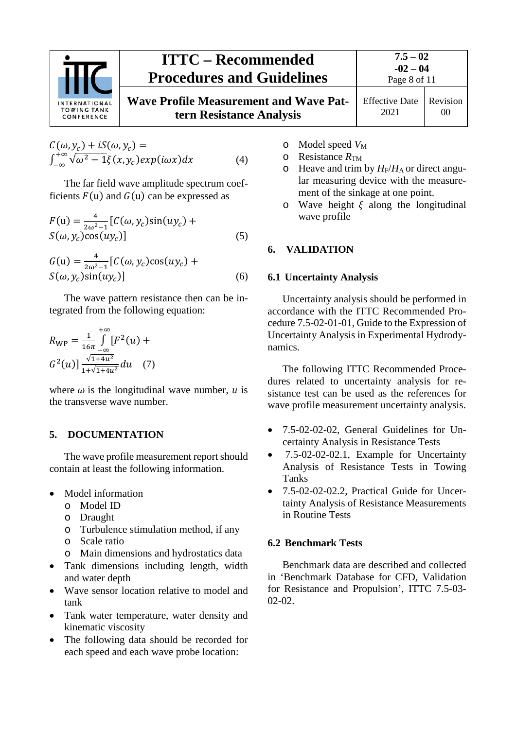

# **ITTC – Recommended Procedures and Guidelines Wave Profile Measurement and Wave Pat-**Effec

**7.5 – 02 -02 – 04**  $P<sub>909</sub>$  8 of 11

**tern Resistance Analysis**

2021 Revision 00

$$
C(\omega, y_c) + iS(\omega, y_c) =
$$
  

$$
\int_{-\infty}^{+\infty} \sqrt{\omega^2 - 1} \xi(x, y_c) exp(i\omega x) dx
$$
 (4)

The far field wave amplitude spectrum coefficients  $F(u)$  and  $G(u)$  can be expressed as

$$
F(u) = \frac{4}{2\omega^2 - 1} [C(\omega, y_c) \sin(u y_c) + S(\omega, y_c) \cos(u y_c)]
$$
\n(5)

$$
G(u) = \frac{4}{2\omega^2 - 1} [C(\omega, y_c) \cos(u y_c) + S(\omega, y_c) \sin(u y_c)]
$$
\n(6)

The wave pattern resistance then can be integrated from the following equation:

$$
R_{\rm WP} = \frac{1}{16\pi} \int_{-\infty}^{+\infty} [F^2(u) + G^2(u)] \frac{\sqrt{1+4u^2}}{1+\sqrt{1+4u^2}} du \quad (7)
$$

where  $\omega$  is the longitudinal wave number,  $u$  is the transverse wave number.

# <span id="page-7-0"></span>**5. DOCUMENTATION**

The wave profile measurement report should contain at least the following information.

- Model information
	- o Model ID
	- o Draught
	- o Turbulence stimulation method, if any
	- o Scale ratio
	- o Main dimensions and hydrostatics data
- Tank dimensions including length, width and water depth
- Wave sensor location relative to model and tank
- Tank water temperature, water density and kinematic viscosity
- The following data should be recorded for each speed and each wave probe location:
- o Model speed *V*<sup>M</sup>
- o Resistance  $R_{TM}$
- $\circ$  Heave and trim by  $H_F/H_A$  or direct angular measuring device with the measurement of the sinkage at one point.
- o Wave height  $\xi$  along the longitudinal wave profile

# <span id="page-7-2"></span><span id="page-7-1"></span>**6. VALIDATION**

# **6.1 Uncertainty Analysis**

Uncertainty analysis should be performed in accordance with the ITTC Recommended Procedure 7.5-02-01-01, Guide to the Expression of Uncertainty Analysis in Experimental Hydrodynamics.

The following ITTC Recommended Procedures related to uncertainty analysis for resistance test can be used as the references for wave profile measurement uncertainty analysis.

- 7.5-02-02-02, General Guidelines for Uncertainty Analysis in Resistance Tests
- 7.5-02-02-02.1, Example for Uncertainty Analysis of Resistance Tests in Towing Tanks
- 7.5-02-02-02.2, Practical Guide for Uncertainty Analysis of Resistance Measurements in Routine Tests

# <span id="page-7-3"></span>**6.2 Benchmark Tests**

Benchmark data are described and collected in 'Benchmark Database for CFD, Validation for Resistance and Propulsion', ITTC 7.5-03- 02-02.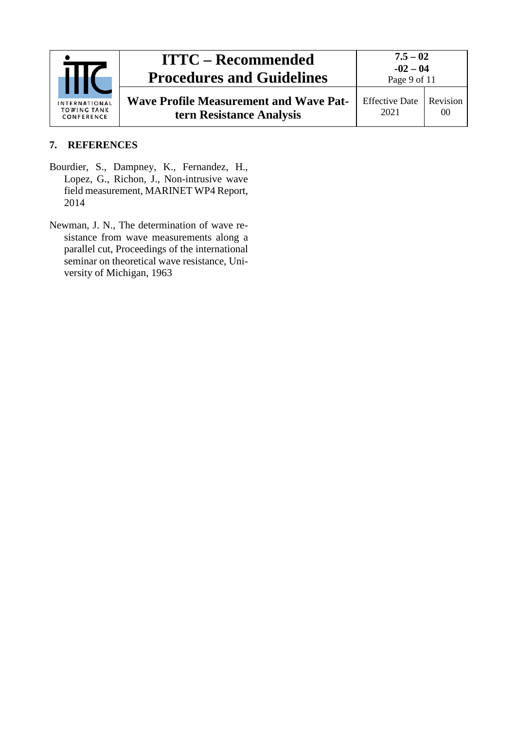

# <span id="page-8-0"></span>**7. REFERENCES**

- Bourdier, S., Dampney, K., Fernandez, H., Lopez, G., Richon, J., Non-intrusive wave field measurement, MARINET WP4 Report, 2014
- Newman, J. N., The determination of wave resistance from wave measurements along a parallel cut, Proceedings of the international seminar on theoretical wave resistance, University of Michigan, 1963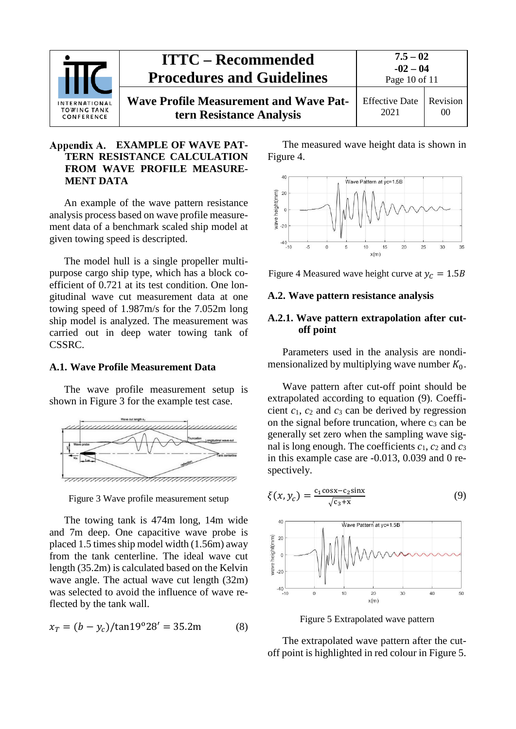

## <span id="page-9-0"></span>**EXAMPLE OF WAVE PAT-TERN RESISTANCE CALCULATION FROM WAVE PROFILE MEASURE-MENT DATA**

An example of the wave pattern resistance analysis process based on wave profile measurement data of a benchmark scaled ship model at given towing speed is descripted.

The model hull is a single propeller multipurpose cargo ship type, which has a block coefficient of 0.721 at its test condition. One longitudinal wave cut measurement data at one towing speed of 1.987m/s for the 7.052m long ship model is analyzed. The measurement was carried out in deep water towing tank of CSSRC.

#### <span id="page-9-1"></span>**A.1. Wave Profile Measurement Data**

The wave profile measurement setup is shown in Figure 3 for the example test case.



Figure 3 Wave profile measurement setup

The towing tank is 474m long, 14m wide and 7m deep. One capacitive wave probe is placed 1.5 times ship model width (1.56m) away from the tank centerline. The ideal wave cut length (35.2m) is calculated based on the Kelvin wave angle. The actual wave cut length (32m) was selected to avoid the influence of wave reflected by the tank wall.

$$
x_T = (b - y_c) / \tan 19^\circ 28' = 35.2 \text{m} \tag{8}
$$

The measured wave height data is shown in Figure 4.



Figure 4 Measured wave height curve at  $y_c = 1.5B$ 

#### <span id="page-9-3"></span><span id="page-9-2"></span>**A.2. Wave pattern resistance analysis**

#### **A.2.1. Wave pattern extrapolation after cutoff point**

Parameters used in the analysis are nondimensionalized by multiplying wave number  $K_0$ .

Wave pattern after cut-off point should be extrapolated according to equation (9). Coefficient *c*1, *c*<sup>2</sup> and *c*<sup>3</sup> can be derived by regression on the signal before truncation, where  $c_3$  can be generally set zero when the sampling wave signal is long enough. The coefficients  $c_1$ ,  $c_2$  and  $c_3$ in this example case are -0.013, 0.039 and 0 respectively.

$$
\xi(x, y_c) = \frac{c_1 \cos x - c_2 \sin x}{\sqrt{c_3 + x}}
$$
(9)



Figure 5 Extrapolated wave pattern

The extrapolated wave pattern after the cutoff point is highlighted in red colour in Figure 5.